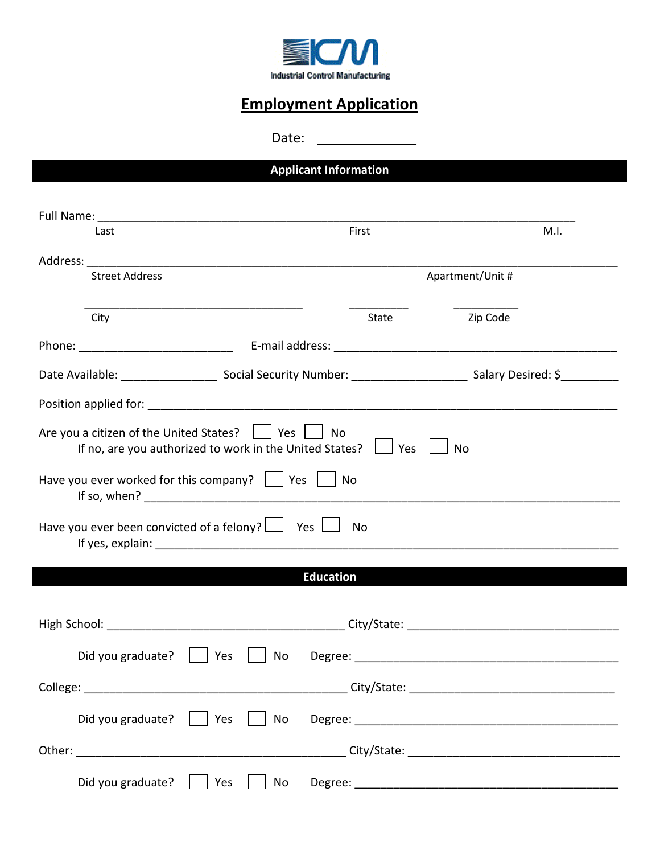

## **Employment Application**

Date:

**Applicant Information**

| Last                  |                                                                                                                                                         | First            | M.I.             |
|-----------------------|---------------------------------------------------------------------------------------------------------------------------------------------------------|------------------|------------------|
| <b>Street Address</b> | Address: Address: Address: Address: Address: Address: Address: Address: Address: Address: Address: A                                                    |                  | Apartment/Unit # |
|                       |                                                                                                                                                         |                  |                  |
| City                  |                                                                                                                                                         | <b>State</b>     | Zip Code         |
|                       |                                                                                                                                                         |                  |                  |
|                       |                                                                                                                                                         |                  |                  |
|                       |                                                                                                                                                         |                  |                  |
|                       | Are you a citizen of the United States? $\vert \vert$ Yes $\vert \vert$ No<br>If no, are you authorized to work in the United States? $\Box$ Yes $\Box$ |                  | <b>No</b>        |
|                       |                                                                                                                                                         |                  |                  |
|                       | Have you ever worked for this company? $\vert$   Yes     No                                                                                             |                  |                  |
|                       | Have you ever been convicted of a felony? $\Box$ Yes $\Box$                                                                                             | No               |                  |
|                       |                                                                                                                                                         |                  |                  |
|                       |                                                                                                                                                         | <b>Education</b> |                  |
|                       |                                                                                                                                                         |                  |                  |
|                       |                                                                                                                                                         |                  |                  |
|                       | Yes<br>No                                                                                                                                               |                  |                  |
| Did you graduate?     |                                                                                                                                                         |                  |                  |
|                       |                                                                                                                                                         |                  |                  |
| Did you graduate?     | Yes<br>No                                                                                                                                               |                  |                  |
|                       |                                                                                                                                                         |                  |                  |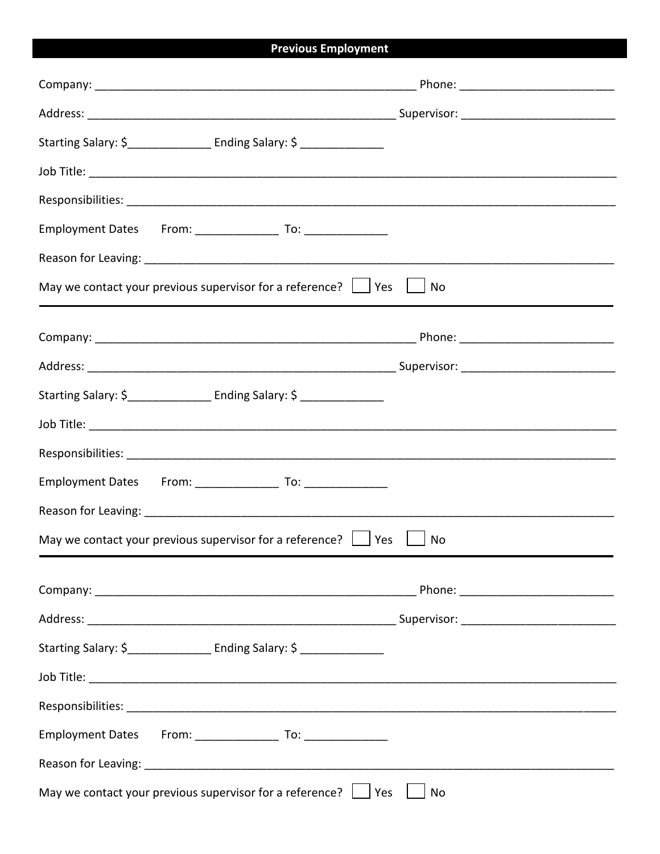## **Previous Employment**

| Starting Salary: \$ Finding Salary: \$                                           |  |  |  |  |  |
|----------------------------------------------------------------------------------|--|--|--|--|--|
|                                                                                  |  |  |  |  |  |
|                                                                                  |  |  |  |  |  |
|                                                                                  |  |  |  |  |  |
|                                                                                  |  |  |  |  |  |
| May we contact your previous supervisor for a reference? $\Box$ Yes<br>No        |  |  |  |  |  |
|                                                                                  |  |  |  |  |  |
|                                                                                  |  |  |  |  |  |
| Starting Salary: \$___________________ Ending Salary: \$ __________________      |  |  |  |  |  |
|                                                                                  |  |  |  |  |  |
|                                                                                  |  |  |  |  |  |
|                                                                                  |  |  |  |  |  |
|                                                                                  |  |  |  |  |  |
| May we contact your previous supervisor for a reference? $\Box$ Yes $\Box$<br>No |  |  |  |  |  |
|                                                                                  |  |  |  |  |  |
|                                                                                  |  |  |  |  |  |
| Starting Salary: \$_________________ Ending Salary: \$ ________________          |  |  |  |  |  |
|                                                                                  |  |  |  |  |  |
|                                                                                  |  |  |  |  |  |
|                                                                                  |  |  |  |  |  |
|                                                                                  |  |  |  |  |  |
| May we contact your previous supervisor for a reference? $\Box$ Yes<br>No        |  |  |  |  |  |